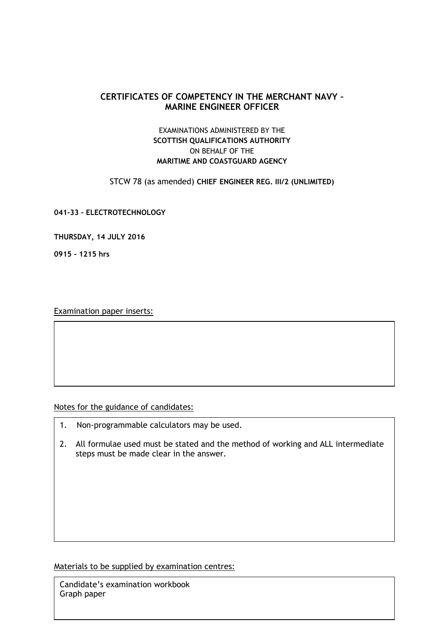## **CERTIFICATES OF COMPETENCY IN THE MERCHANT NAVY – MARINE ENGINEER OFFICER**

## EXAMINATIONS ADMINISTERED BY THE **SCOTTISH QUALIFICATIONS AUTHORITY** ON BEHALF OF THE **MARITIME AND COASTGUARD AGENCY**

STCW 78 (as amended) **CHIEF ENGINEER REG. III/2 (UNLIMITED)**

**041-33 - ELECTROTECHNOLOGY**

**THURSDAY, 14 JULY 2016**

**0915 - 1215 hrs**

Examination paper inserts:

Notes for the guidance of candidates:

- 1. Non-programmable calculators may be used.
- 2. All formulae used must be stated and the method of working and ALL intermediate steps must be made clear in the answer.

Materials to be supplied by examination centres:

Candidate's examination workbook Graph paper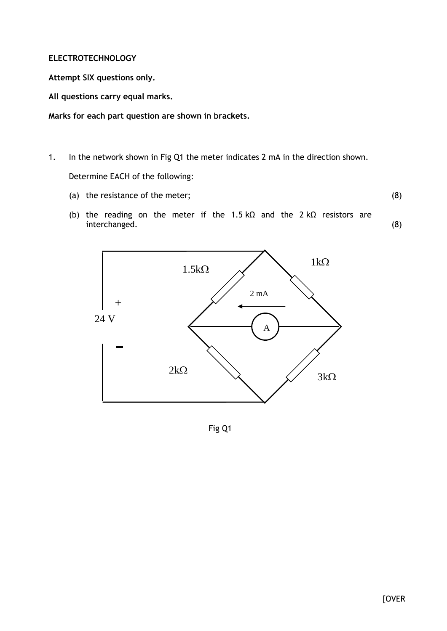## **ELECTROTECHNOLOGY**

**Attempt SIX questions only.**

**All questions carry equal marks.**

**Marks for each part question are shown in brackets.**

- 1. In the network shown in Fig Q1 the meter indicates 2 mA in the direction shown. Determine EACH of the following:
	- (a) the resistance of the meter;

(8)

(8)

(b) the reading on the meter if the 1.5 kΩ and the 2 kΩ resistors are interchanged.



Fig Q1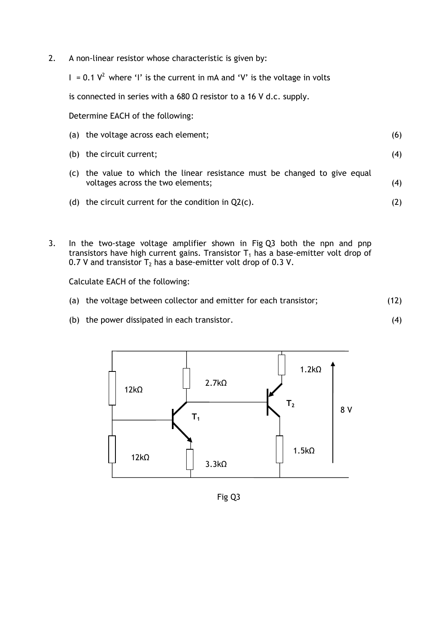2. A non-linear resistor whose characteristic is given by:

I = 0.1  $V^2$  where 'I' is the current in mA and 'V' is the voltage in volts

is connected in series with a 680  $\Omega$  resistor to a 16 V d.c. supply.

Determine EACH of the following:

|     | (a) the voltage across each element;                                                                        | (6) |
|-----|-------------------------------------------------------------------------------------------------------------|-----|
| (b) | the circuit current;                                                                                        | (4) |
| (C) | the value to which the linear resistance must be changed to give equal<br>voltages across the two elements; | (4) |
| (d) | the circuit current for the condition in $Q2(c)$ .                                                          |     |

3. In the two-stage voltage amplifier shown in Fig Q3 both the npn and pnp transistors have high current gains. Transistor  $T_1$  has a base-emitter volt drop of 0.7 V and transistor  $T_2$  has a base-emitter volt drop of 0.3 V.

Calculate EACH of the following:

(a) the voltage between collector and emitter for each transistor; (12)

(4)

(b) the power dissipated in each transistor.



Fig Q3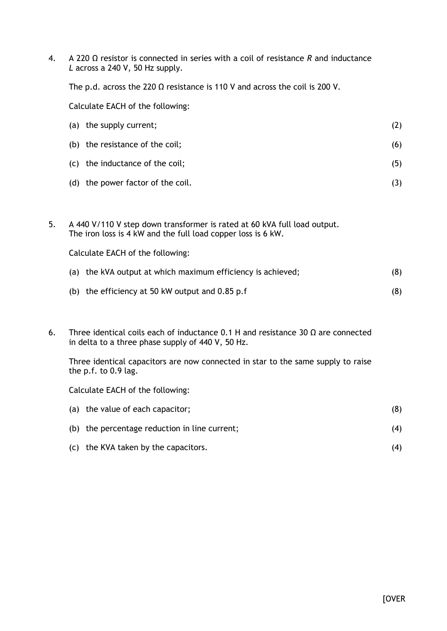4. A 220 Ω resistor is connected in series with a coil of resistance *R* and inductance *L* across a 240 V, 50 Hz supply.

The p.d. across the 220  $\Omega$  resistance is 110 V and across the coil is 200 V.

Calculate EACH of the following:

| (a) the supply current;           | (Z) |
|-----------------------------------|-----|
| (b) the resistance of the coil;   | (6) |
| (c) the inductance of the coil;   | (5) |
| (d) the power factor of the coil. |     |

5. A 440 V/110 V step down transformer is rated at 60 kVA full load output. The iron loss is 4 kW and the full load copper loss is 6 kW.

Calculate EACH of the following:

| (a) the kVA output at which maximum efficiency is achieved; | (8) |
|-------------------------------------------------------------|-----|
| (b) the efficiency at 50 kW output and $0.85$ p.f           | (8) |

6. Three identical coils each of inductance 0.1 H and resistance 30  $\Omega$  are connected in delta to a three phase supply of 440 V, 50 Hz.

Three identical capacitors are now connected in star to the same supply to raise the p.f. to 0.9 lag.

Calculate EACH of the following:

| (a) the value of each capacitor;              | (8) |
|-----------------------------------------------|-----|
| (b) the percentage reduction in line current; | (4) |
| (c) the KVA taken by the capacitors.          | (4) |